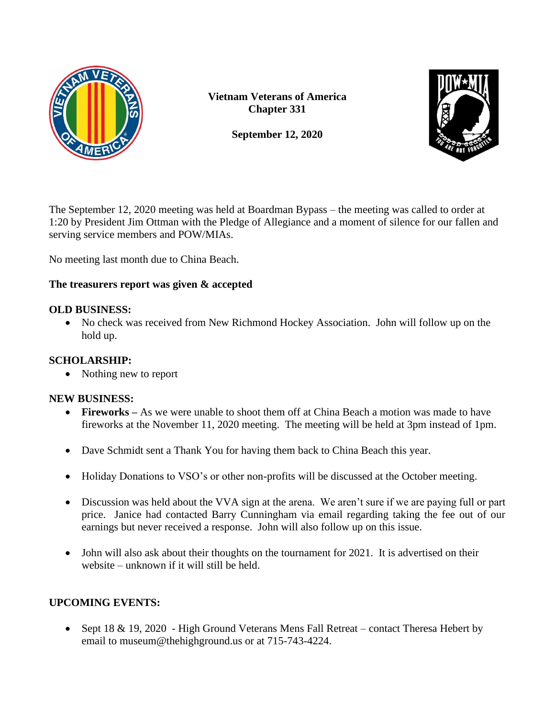

**Vietnam Veterans of America Chapter 331**



**September 12, 2020**

The September 12, 2020 meeting was held at Boardman Bypass – the meeting was called to order at 1:20 by President Jim Ottman with the Pledge of Allegiance and a moment of silence for our fallen and serving service members and POW/MIAs.

No meeting last month due to China Beach.

# **The treasurers report was given & accepted**

#### **OLD BUSINESS:**

• No check was received from New Richmond Hockey Association. John will follow up on the hold up.

### **SCHOLARSHIP:**

• Nothing new to report

# **NEW BUSINESS:**

- **Fireworks** As we were unable to shoot them off at China Beach a motion was made to have fireworks at the November 11, 2020 meeting. The meeting will be held at 3pm instead of 1pm.
- Dave Schmidt sent a Thank You for having them back to China Beach this year.
- Holiday Donations to VSO's or other non-profits will be discussed at the October meeting.
- Discussion was held about the VVA sign at the arena. We aren't sure if we are paying full or part price. Janice had contacted Barry Cunningham via email regarding taking the fee out of our earnings but never received a response. John will also follow up on this issue.
- John will also ask about their thoughts on the tournament for 2021. It is advertised on their website – unknown if it will still be held.

# **UPCOMING EVENTS:**

• Sept 18 & 19, 2020 - High Ground Veterans Mens Fall Retreat – contact Theresa Hebert by email to museum@thehighground.us or at 715-743-4224.